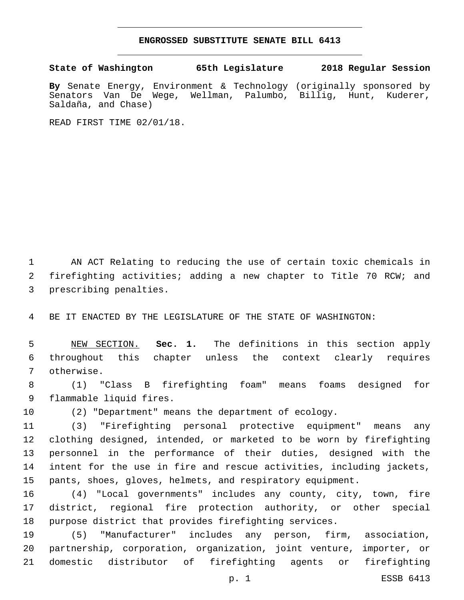## **ENGROSSED SUBSTITUTE SENATE BILL 6413**

**State of Washington 65th Legislature 2018 Regular Session**

**By** Senate Energy, Environment & Technology (originally sponsored by Senators Van De Wege, Wellman, Palumbo, Billig, Hunt, Kuderer, Saldaña, and Chase)

READ FIRST TIME 02/01/18.

 AN ACT Relating to reducing the use of certain toxic chemicals in firefighting activities; adding a new chapter to Title 70 RCW; and 3 prescribing penalties.

BE IT ENACTED BY THE LEGISLATURE OF THE STATE OF WASHINGTON:

 NEW SECTION. **Sec. 1.** The definitions in this section apply throughout this chapter unless the context clearly requires otherwise.

 (1) "Class B firefighting foam" means foams designed for 9 flammable liquid fires.

(2) "Department" means the department of ecology.

 (3) "Firefighting personal protective equipment" means any clothing designed, intended, or marketed to be worn by firefighting personnel in the performance of their duties, designed with the intent for the use in fire and rescue activities, including jackets, pants, shoes, gloves, helmets, and respiratory equipment.

 (4) "Local governments" includes any county, city, town, fire district, regional fire protection authority, or other special purpose district that provides firefighting services.

 (5) "Manufacturer" includes any person, firm, association, partnership, corporation, organization, joint venture, importer, or domestic distributor of firefighting agents or firefighting

p. 1 ESSB 6413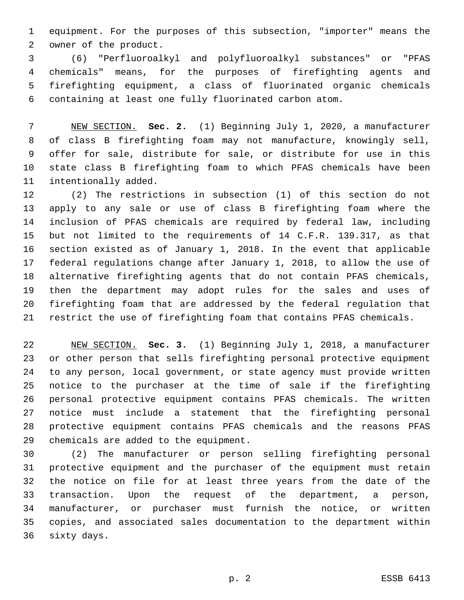equipment. For the purposes of this subsection, "importer" means the 2 owner of the product.

 (6) "Perfluoroalkyl and polyfluoroalkyl substances" or "PFAS chemicals" means, for the purposes of firefighting agents and firefighting equipment, a class of fluorinated organic chemicals containing at least one fully fluorinated carbon atom.

 NEW SECTION. **Sec. 2.** (1) Beginning July 1, 2020, a manufacturer of class B firefighting foam may not manufacture, knowingly sell, offer for sale, distribute for sale, or distribute for use in this state class B firefighting foam to which PFAS chemicals have been intentionally added.

 (2) The restrictions in subsection (1) of this section do not apply to any sale or use of class B firefighting foam where the inclusion of PFAS chemicals are required by federal law, including but not limited to the requirements of 14 C.F.R. 139.317, as that section existed as of January 1, 2018. In the event that applicable federal regulations change after January 1, 2018, to allow the use of alternative firefighting agents that do not contain PFAS chemicals, then the department may adopt rules for the sales and uses of firefighting foam that are addressed by the federal regulation that restrict the use of firefighting foam that contains PFAS chemicals.

 NEW SECTION. **Sec. 3.** (1) Beginning July 1, 2018, a manufacturer or other person that sells firefighting personal protective equipment to any person, local government, or state agency must provide written notice to the purchaser at the time of sale if the firefighting personal protective equipment contains PFAS chemicals. The written notice must include a statement that the firefighting personal protective equipment contains PFAS chemicals and the reasons PFAS chemicals are added to the equipment.

 (2) The manufacturer or person selling firefighting personal protective equipment and the purchaser of the equipment must retain the notice on file for at least three years from the date of the transaction. Upon the request of the department, a person, manufacturer, or purchaser must furnish the notice, or written copies, and associated sales documentation to the department within 36 sixty days.